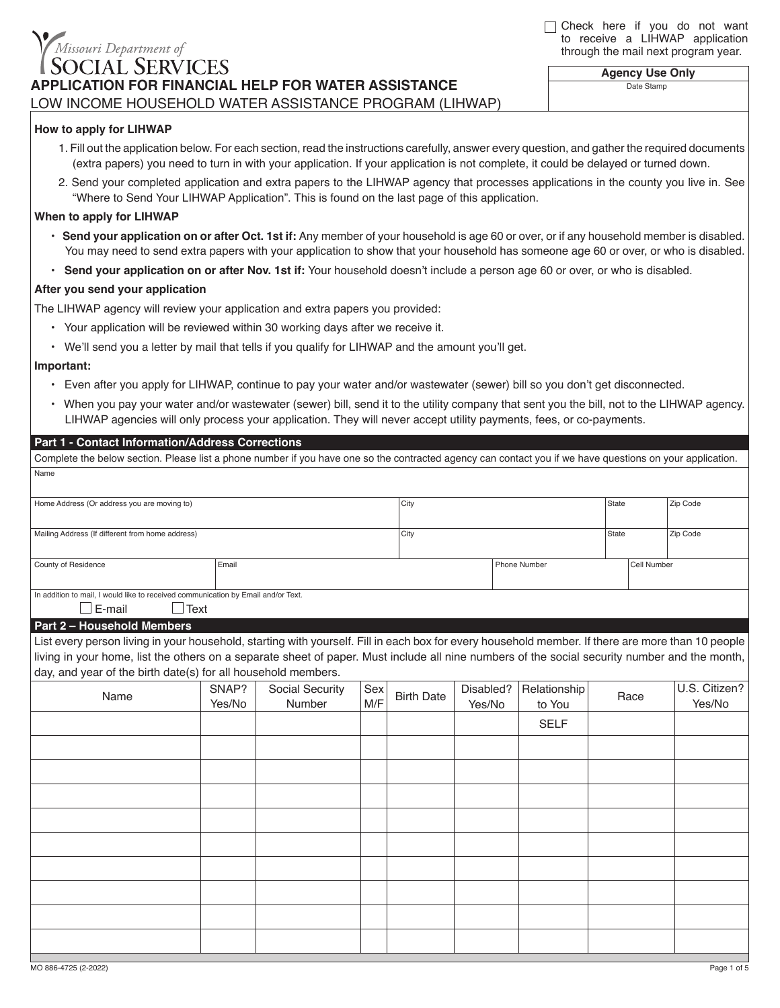# Missouri Department of **IAL SERVICES APPLICATION FOR FINANCIAL HELP FOR WATER ASSISTANCE** *Your Potential. Our Support.* LOW INCOME HOUSEHOLD WATER ASSISTANCE PROGRAM (LIHWAP)

□ Check here if you do not want to receive a LIHWAP application through the mail next program year.

> **Agency Use Only** Date Stamp

### **How to apply for LIHWAP**

- 1. Fill out the application below. For each section, read the instructions carefully, answer every question, and gather the required documents (extra papers) you need to turn in with your application. If your application is not complete, it could be delayed or turned down.
- 2. Send your completed application and extra papers to the LIHWAP agency that processes applications in the county you live in. See "Where to Send Your LIHWAP Application". This is found on the last page of this application.

#### **When to apply for LIHWAP**

- **Send your application on or after Oct. 1st if:** Any member of your household is age 60 or over, or if any household member is disabled. You may need to send extra papers with your application to show that your household has someone age 60 or over, or who is disabled.
- **Send your application on or after Nov. 1st if:** Your household doesn't include a person age 60 or over, or who is disabled.

#### **After you send your application**

**Part 1 - Contact Information/Address Corrections**

The LIHWAP agency will review your application and extra papers you provided:

- Your application will be reviewed within 30 working days after we receive it.
- We'll send you a letter by mail that tells if you qualify for LIHWAP and the amount you'll get.

#### **Important:**

- Even after you apply for LIHWAP, continue to pay your water and/or wastewater (sewer) bill so you don't get disconnected.
- When you pay your water and/or wastewater (sewer) bill, send it to the utility company that sent you the bill, not to the LIHWAP agency. LIHWAP agencies will only process your application. They will never accept utility payments, fees, or co-payments.

Complete the below section. Please list a phone number if you have one so the contracted agency can contact you if we have questions on your application.

| Name                                                                                                                                              |        |                 |      |                          |           |              |             |               |        |
|---------------------------------------------------------------------------------------------------------------------------------------------------|--------|-----------------|------|--------------------------|-----------|--------------|-------------|---------------|--------|
| Home Address (Or address you are moving to)                                                                                                       |        |                 | City |                          |           |              |             | Zip Code      |        |
|                                                                                                                                                   |        |                 |      |                          |           |              |             |               |        |
| Mailing Address (If different from home address)                                                                                                  |        |                 | City |                          |           | State        |             | Zip Code      |        |
|                                                                                                                                                   |        |                 |      |                          |           |              |             |               |        |
| County of Residence                                                                                                                               | Email  |                 |      | Phone Number             |           |              | Cell Number |               |        |
|                                                                                                                                                   |        |                 |      |                          |           |              |             |               |        |
| In addition to mail, I would like to received communication by Email and/or Text.<br>$\square$ E-mail<br>$\Box$ Text                              |        |                 |      |                          |           |              |             |               |        |
| Part 2 - Household Members                                                                                                                        |        |                 |      |                          |           |              |             |               |        |
| List every person living in your household, starting with yourself. Fill in each box for every household member. If there are more than 10 people |        |                 |      |                          |           |              |             |               |        |
| living in your home, list the others on a separate sheet of paper. Must include all nine numbers of the social security number and the month,     |        |                 |      |                          |           |              |             |               |        |
|                                                                                                                                                   |        |                 |      |                          |           |              |             |               |        |
| day, and year of the birth date(s) for all household members.                                                                                     |        |                 |      |                          |           |              |             |               |        |
| Name                                                                                                                                              | SNAP?  | Social Security | Sex  | <b>Birth Date</b><br>M/F | Disabled? | Relationship | Race        | U.S. Citizen? |        |
|                                                                                                                                                   | Yes/No | Number          |      |                          | Yes/No    | to You       |             |               | Yes/No |
|                                                                                                                                                   |        |                 |      |                          |           | <b>SELF</b>  |             |               |        |
|                                                                                                                                                   |        |                 |      |                          |           |              |             |               |        |
|                                                                                                                                                   |        |                 |      |                          |           |              |             |               |        |
|                                                                                                                                                   |        |                 |      |                          |           |              |             |               |        |
|                                                                                                                                                   |        |                 |      |                          |           |              |             |               |        |
|                                                                                                                                                   |        |                 |      |                          |           |              |             |               |        |
|                                                                                                                                                   |        |                 |      |                          |           |              |             |               |        |
|                                                                                                                                                   |        |                 |      |                          |           |              |             |               |        |
|                                                                                                                                                   |        |                 |      |                          |           |              |             |               |        |
|                                                                                                                                                   |        |                 |      |                          |           |              |             |               |        |
|                                                                                                                                                   |        |                 |      |                          |           |              |             |               |        |
|                                                                                                                                                   |        |                 |      |                          |           |              |             |               |        |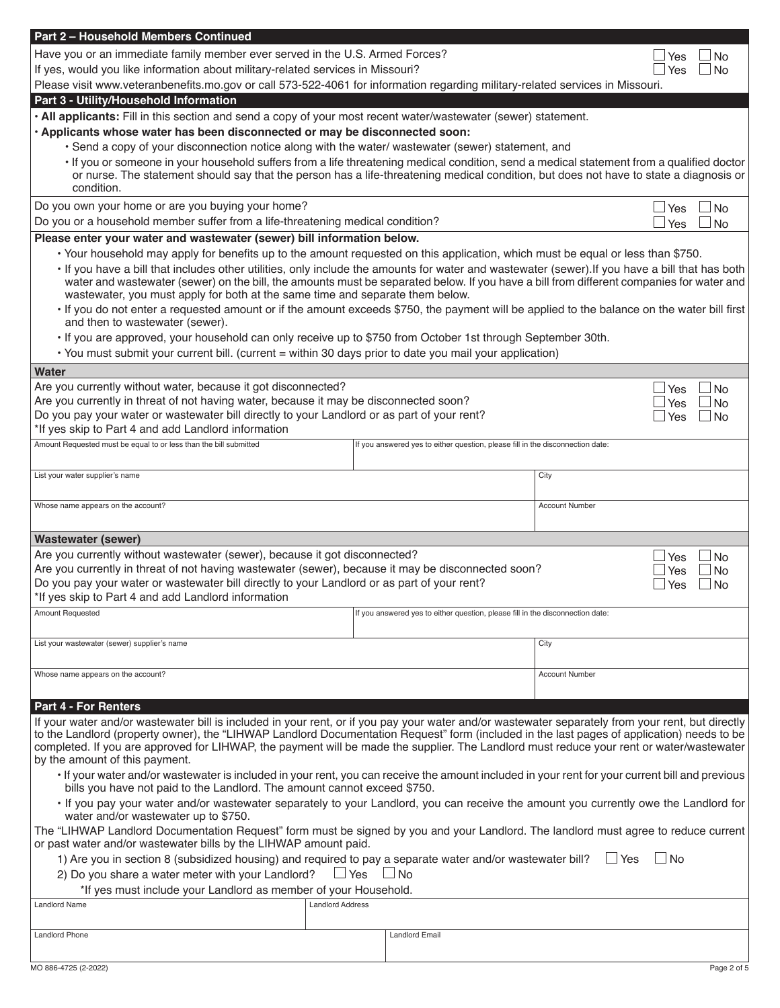| Part 2 - Household Members Continued                                                                                                                                                                                                                                                                                                                                         |                         |                                                                                |                       |            |                        |  |  |
|------------------------------------------------------------------------------------------------------------------------------------------------------------------------------------------------------------------------------------------------------------------------------------------------------------------------------------------------------------------------------|-------------------------|--------------------------------------------------------------------------------|-----------------------|------------|------------------------|--|--|
| Have you or an immediate family member ever served in the U.S. Armed Forces?                                                                                                                                                                                                                                                                                                 |                         | Yes                                                                            | <b>No</b>             |            |                        |  |  |
| If yes, would you like information about military-related services in Missouri?                                                                                                                                                                                                                                                                                              |                         | Yes                                                                            | <b>No</b>             |            |                        |  |  |
| Please visit www.veteranbenefits.mo.gov or call 573-522-4061 for information regarding military-related services in Missouri.                                                                                                                                                                                                                                                |                         |                                                                                |                       |            |                        |  |  |
| Part 3 - Utility/Household Information                                                                                                                                                                                                                                                                                                                                       |                         |                                                                                |                       |            |                        |  |  |
| . All applicants: Fill in this section and send a copy of your most recent water/wastewater (sewer) statement.                                                                                                                                                                                                                                                               |                         |                                                                                |                       |            |                        |  |  |
| · Applicants whose water has been disconnected or may be disconnected soon:<br>· Send a copy of your disconnection notice along with the water/ wastewater (sewer) statement, and                                                                                                                                                                                            |                         |                                                                                |                       |            |                        |  |  |
|                                                                                                                                                                                                                                                                                                                                                                              |                         |                                                                                |                       |            |                        |  |  |
| · If you or someone in your household suffers from a life threatening medical condition, send a medical statement from a qualified doctor<br>or nurse. The statement should say that the person has a life-threatening medical condition, but does not have to state a diagnosis or<br>condition.                                                                            |                         |                                                                                |                       |            |                        |  |  |
| Do you own your home or are you buying your home?                                                                                                                                                                                                                                                                                                                            |                         |                                                                                |                       | Yes        | $\Box$ No              |  |  |
| Do you or a household member suffer from a life-threatening medical condition?                                                                                                                                                                                                                                                                                               |                         |                                                                                |                       | Yes        | l No                   |  |  |
| Please enter your water and wastewater (sewer) bill information below.                                                                                                                                                                                                                                                                                                       |                         |                                                                                |                       |            |                        |  |  |
| . Your household may apply for benefits up to the amount requested on this application, which must be equal or less than \$750.                                                                                                                                                                                                                                              |                         |                                                                                |                       |            |                        |  |  |
| · If you have a bill that includes other utilities, only include the amounts for water and wastewater (sewer). If you have a bill that has both<br>water and wastewater (sewer) on the bill, the amounts must be separated below. If you have a bill from different companies for water and<br>wastewater, you must apply for both at the same time and separate them below. |                         |                                                                                |                       |            |                        |  |  |
| . If you do not enter a requested amount or if the amount exceeds \$750, the payment will be applied to the balance on the water bill first<br>and then to wastewater (sewer).                                                                                                                                                                                               |                         |                                                                                |                       |            |                        |  |  |
| • If you are approved, your household can only receive up to \$750 from October 1st through September 30th.                                                                                                                                                                                                                                                                  |                         |                                                                                |                       |            |                        |  |  |
| . You must submit your current bill. (current = within 30 days prior to date you mail your application)                                                                                                                                                                                                                                                                      |                         |                                                                                |                       |            |                        |  |  |
| Water                                                                                                                                                                                                                                                                                                                                                                        |                         |                                                                                |                       |            |                        |  |  |
| Are you currently without water, because it got disconnected?<br>Are you currently in threat of not having water, because it may be disconnected soon?                                                                                                                                                                                                                       |                         |                                                                                |                       | <b>Yes</b> | ⊿ No                   |  |  |
| Do you pay your water or wastewater bill directly to your Landlord or as part of your rent?                                                                                                                                                                                                                                                                                  |                         |                                                                                |                       | Yes<br>Yes | <b>No</b><br><b>No</b> |  |  |
| *If yes skip to Part 4 and add Landlord information                                                                                                                                                                                                                                                                                                                          |                         |                                                                                |                       |            |                        |  |  |
| Amount Requested must be equal to or less than the bill submitted                                                                                                                                                                                                                                                                                                            |                         | If you answered yes to either question, please fill in the disconnection date: |                       |            |                        |  |  |
|                                                                                                                                                                                                                                                                                                                                                                              |                         |                                                                                |                       |            |                        |  |  |
| List your water supplier's name                                                                                                                                                                                                                                                                                                                                              |                         |                                                                                | City                  |            |                        |  |  |
| Whose name appears on the account?                                                                                                                                                                                                                                                                                                                                           |                         |                                                                                | <b>Account Number</b> |            |                        |  |  |
| <b>Wastewater (sewer)</b>                                                                                                                                                                                                                                                                                                                                                    |                         |                                                                                |                       |            |                        |  |  |
| Are you currently without wastewater (sewer), because it got disconnected?                                                                                                                                                                                                                                                                                                   |                         |                                                                                |                       | Yes        | ⊥No                    |  |  |
| Are you currently in threat of not having wastewater (sewer), because it may be disconnected soon?                                                                                                                                                                                                                                                                           |                         |                                                                                |                       | Yes        | <b>No</b>              |  |  |
| Do you pay your water or wastewater bill directly to your Landlord or as part of your rent?                                                                                                                                                                                                                                                                                  |                         |                                                                                |                       | Yes        | <b>No</b>              |  |  |
| If yes skip to Part 4 and add Landlord information                                                                                                                                                                                                                                                                                                                           |                         |                                                                                |                       |            |                        |  |  |
| Amount Requested                                                                                                                                                                                                                                                                                                                                                             |                         | If you answered yes to either question, please fill in the disconnection date: |                       |            |                        |  |  |
| List your wastewater (sewer) supplier's name                                                                                                                                                                                                                                                                                                                                 |                         |                                                                                | City                  |            |                        |  |  |
|                                                                                                                                                                                                                                                                                                                                                                              |                         |                                                                                |                       |            |                        |  |  |
| Whose name appears on the account?                                                                                                                                                                                                                                                                                                                                           |                         |                                                                                | <b>Account Number</b> |            |                        |  |  |
|                                                                                                                                                                                                                                                                                                                                                                              |                         |                                                                                |                       |            |                        |  |  |
| <b>Part 4 - For Renters</b>                                                                                                                                                                                                                                                                                                                                                  |                         |                                                                                |                       |            |                        |  |  |
| If your water and/or wastewater bill is included in your rent, or if you pay your water and/or wastewater separately from your rent, but directly<br>to the Landlord (property owner), the "LIHWAP Landlord Documentation Request" form (included in the last pages of application) needs to be                                                                              |                         |                                                                                |                       |            |                        |  |  |
| completed. If you are approved for LIHWAP, the payment will be made the supplier. The Landlord must reduce your rent or water/wastewater<br>by the amount of this payment.                                                                                                                                                                                                   |                         |                                                                                |                       |            |                        |  |  |
| · If your water and/or wastewater is included in your rent, you can receive the amount included in your rent for your current bill and previous<br>bills you have not paid to the Landlord. The amount cannot exceed \$750.                                                                                                                                                  |                         |                                                                                |                       |            |                        |  |  |
| . If you pay your water and/or wastewater separately to your Landlord, you can receive the amount you currently owe the Landlord for<br>water and/or wastewater up to \$750.                                                                                                                                                                                                 |                         |                                                                                |                       |            |                        |  |  |
| The "LIHWAP Landlord Documentation Request" form must be signed by you and your Landlord. The landlord must agree to reduce current<br>or past water and/or wastewater bills by the LIHWAP amount paid.                                                                                                                                                                      |                         |                                                                                |                       |            |                        |  |  |
| $\Box$ Yes<br>$\Box$ No<br>1) Are you in section 8 (subsidized housing) and required to pay a separate water and/or wastewater bill?                                                                                                                                                                                                                                         |                         |                                                                                |                       |            |                        |  |  |
| $\Box$ Yes<br>$\Box$ No<br>2) Do you share a water meter with your Landlord?                                                                                                                                                                                                                                                                                                 |                         |                                                                                |                       |            |                        |  |  |
| *If yes must include your Landlord as member of your Household.                                                                                                                                                                                                                                                                                                              |                         |                                                                                |                       |            |                        |  |  |
| <b>Landlord Name</b>                                                                                                                                                                                                                                                                                                                                                         | <b>Landlord Address</b> |                                                                                |                       |            |                        |  |  |
| <b>Landlord Phone</b>                                                                                                                                                                                                                                                                                                                                                        |                         | <b>Landlord Email</b>                                                          |                       |            |                        |  |  |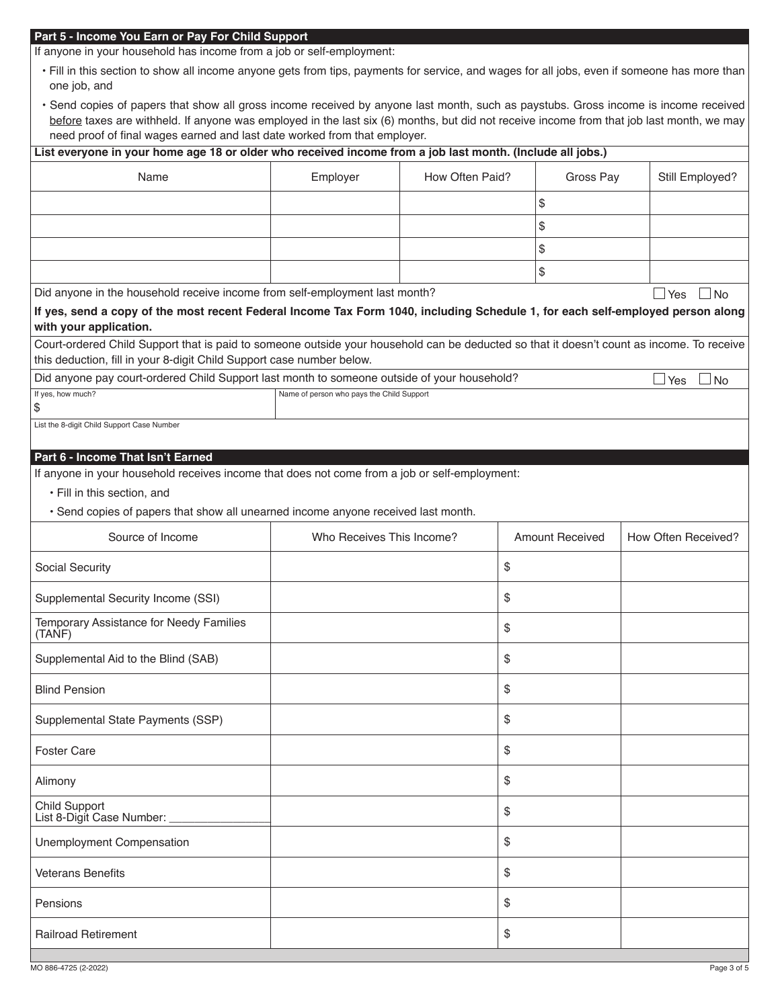## **Part 5 - Income You Earn or Pay For Child Support**

If anyone in your household has income from a job or self-employment:

- Fill in this section to show all income anyone gets from tips, payments for service, and wages for all jobs, even if someone has more than one job, and
- Send copies of papers that show all gross income received by anyone last month, such as paystubs. Gross income is income received before taxes are withheld. If anyone was employed in the last six (6) months, but did not receive income from that job last month, we may need proof of final wages earned and last date worked from that employer.

## **List everyone in your home age 18 or older who received income from a job last month. (Include all jobs.)**

| Name                                                                                                                                                                                                               | Employer                                  | How Often Paid? | Gross Pay              | Still Employed?      |  |  |  |  |
|--------------------------------------------------------------------------------------------------------------------------------------------------------------------------------------------------------------------|-------------------------------------------|-----------------|------------------------|----------------------|--|--|--|--|
|                                                                                                                                                                                                                    |                                           |                 | \$                     |                      |  |  |  |  |
|                                                                                                                                                                                                                    |                                           |                 | \$                     |                      |  |  |  |  |
|                                                                                                                                                                                                                    |                                           |                 | \$                     |                      |  |  |  |  |
|                                                                                                                                                                                                                    |                                           |                 | \$                     |                      |  |  |  |  |
| Did anyone in the household receive income from self-employment last month?                                                                                                                                        |                                           |                 |                        | $\Box$ Yes $\Box$ No |  |  |  |  |
| If yes, send a copy of the most recent Federal Income Tax Form 1040, including Schedule 1, for each self-employed person along<br>with your application.                                                           |                                           |                 |                        |                      |  |  |  |  |
| Court-ordered Child Support that is paid to someone outside your household can be deducted so that it doesn't count as income. To receive<br>this deduction, fill in your 8-digit Child Support case number below. |                                           |                 |                        |                      |  |  |  |  |
| Did anyone pay court-ordered Child Support last month to someone outside of your household?<br>$\Box$ Yes<br>$\Box$ No                                                                                             |                                           |                 |                        |                      |  |  |  |  |
| If yes, how much?<br>\$                                                                                                                                                                                            | Name of person who pays the Child Support |                 |                        |                      |  |  |  |  |
| List the 8-digit Child Support Case Number                                                                                                                                                                         |                                           |                 |                        |                      |  |  |  |  |
|                                                                                                                                                                                                                    |                                           |                 |                        |                      |  |  |  |  |
| Part 6 - Income That Isn't Earned<br>If anyone in your household receives income that does not come from a job or self-employment:                                                                                 |                                           |                 |                        |                      |  |  |  |  |
| · Fill in this section, and                                                                                                                                                                                        |                                           |                 |                        |                      |  |  |  |  |
| · Send copies of papers that show all unearned income anyone received last month.                                                                                                                                  |                                           |                 |                        |                      |  |  |  |  |
| Source of Income                                                                                                                                                                                                   | Who Receives This Income?                 |                 | <b>Amount Received</b> | How Often Received?  |  |  |  |  |
| Social Security                                                                                                                                                                                                    |                                           | \$              |                        |                      |  |  |  |  |
| Supplemental Security Income (SSI)                                                                                                                                                                                 |                                           | \$              |                        |                      |  |  |  |  |
| Temporary Assistance for Needy Families<br>(TANF)                                                                                                                                                                  |                                           | \$              |                        |                      |  |  |  |  |
| Supplemental Aid to the Blind (SAB)                                                                                                                                                                                |                                           | \$              |                        |                      |  |  |  |  |
| <b>Blind Pension</b>                                                                                                                                                                                               |                                           | \$              |                        |                      |  |  |  |  |
| Supplemental State Payments (SSP)                                                                                                                                                                                  |                                           | \$              |                        |                      |  |  |  |  |
| <b>Foster Care</b>                                                                                                                                                                                                 |                                           | \$              |                        |                      |  |  |  |  |
| Alimony                                                                                                                                                                                                            |                                           | \$              |                        |                      |  |  |  |  |
| Child Support<br>List 8-Digit Case Number:                                                                                                                                                                         |                                           | \$              |                        |                      |  |  |  |  |
| Unemployment Compensation                                                                                                                                                                                          |                                           | \$              |                        |                      |  |  |  |  |
| <b>Veterans Benefits</b>                                                                                                                                                                                           |                                           | \$              |                        |                      |  |  |  |  |
| Pensions                                                                                                                                                                                                           |                                           | \$              |                        |                      |  |  |  |  |
| <b>Railroad Retirement</b>                                                                                                                                                                                         |                                           | \$              |                        |                      |  |  |  |  |
|                                                                                                                                                                                                                    |                                           |                 |                        |                      |  |  |  |  |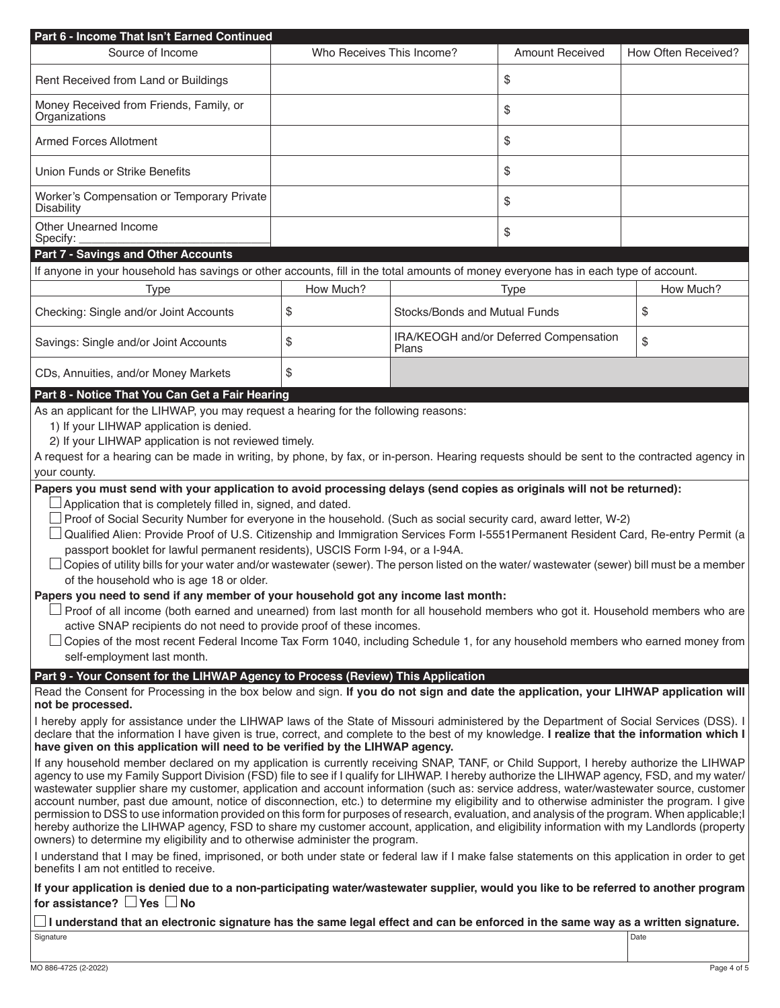| Part 6 - Income That Isn't Earned Continued<br>Source of Income                                                                                                                                                                                                                        | Who Receives This Income? |                                                       | <b>Amount Received</b> | How Often Received? |  |  |  |
|----------------------------------------------------------------------------------------------------------------------------------------------------------------------------------------------------------------------------------------------------------------------------------------|---------------------------|-------------------------------------------------------|------------------------|---------------------|--|--|--|
|                                                                                                                                                                                                                                                                                        |                           |                                                       |                        |                     |  |  |  |
| Rent Received from Land or Buildings                                                                                                                                                                                                                                                   |                           |                                                       | \$                     |                     |  |  |  |
| Money Received from Friends, Family, or<br>Organizations                                                                                                                                                                                                                               |                           |                                                       | \$                     |                     |  |  |  |
| <b>Armed Forces Allotment</b>                                                                                                                                                                                                                                                          |                           |                                                       | \$                     |                     |  |  |  |
| Union Funds or Strike Benefits                                                                                                                                                                                                                                                         |                           |                                                       | \$                     |                     |  |  |  |
| Worker's Compensation or Temporary Private<br><b>Disability</b>                                                                                                                                                                                                                        |                           |                                                       | \$                     |                     |  |  |  |
| Other Unearned Income<br>Specify:                                                                                                                                                                                                                                                      |                           |                                                       | \$                     |                     |  |  |  |
| <b>Part 7 - Savings and Other Accounts</b>                                                                                                                                                                                                                                             |                           |                                                       |                        |                     |  |  |  |
| If anyone in your household has savings or other accounts, fill in the total amounts of money everyone has in each type of account.                                                                                                                                                    |                           |                                                       |                        |                     |  |  |  |
| <b>Type</b>                                                                                                                                                                                                                                                                            | How Much?                 |                                                       | Type                   | How Much?           |  |  |  |
| Checking: Single and/or Joint Accounts                                                                                                                                                                                                                                                 | \$                        | Stocks/Bonds and Mutual Funds<br>\$                   |                        |                     |  |  |  |
| Savings: Single and/or Joint Accounts                                                                                                                                                                                                                                                  | \$                        | IRA/KEOGH and/or Deferred Compensation<br>\$<br>Plans |                        |                     |  |  |  |
| CDs, Annuities, and/or Money Markets                                                                                                                                                                                                                                                   | \$                        |                                                       |                        |                     |  |  |  |
| Part 8 - Notice That You Can Get a Fair Hearing                                                                                                                                                                                                                                        |                           |                                                       |                        |                     |  |  |  |
| As an applicant for the LIHWAP, you may request a hearing for the following reasons:                                                                                                                                                                                                   |                           |                                                       |                        |                     |  |  |  |
| 1) If your LIHWAP application is denied.<br>2) If your LIHWAP application is not reviewed timely.                                                                                                                                                                                      |                           |                                                       |                        |                     |  |  |  |
| A request for a hearing can be made in writing, by phone, by fax, or in-person. Hearing requests should be sent to the contracted agency in                                                                                                                                            |                           |                                                       |                        |                     |  |  |  |
| your county.                                                                                                                                                                                                                                                                           |                           |                                                       |                        |                     |  |  |  |
| Papers you must send with your application to avoid processing delays (send copies as originals will not be returned):                                                                                                                                                                 |                           |                                                       |                        |                     |  |  |  |
| Application that is completely filled in, signed, and dated.                                                                                                                                                                                                                           |                           |                                                       |                        |                     |  |  |  |
| $\Box$ Proof of Social Security Number for everyone in the household. (Such as social security card, award letter, W-2)                                                                                                                                                                |                           |                                                       |                        |                     |  |  |  |
| Qualified Alien: Provide Proof of U.S. Citizenship and Immigration Services Form I-5551 Permanent Resident Card, Re-entry Permit (a                                                                                                                                                    |                           |                                                       |                        |                     |  |  |  |
| passport booklet for lawful permanent residents), USCIS Form I-94, or a I-94A.                                                                                                                                                                                                         |                           |                                                       |                        |                     |  |  |  |
| □ Copies of utility bills for your water and/or wastewater (sewer). The person listed on the water/ wastewater (sewer) bill must be a member                                                                                                                                           |                           |                                                       |                        |                     |  |  |  |
| of the household who is age 18 or older.                                                                                                                                                                                                                                               |                           |                                                       |                        |                     |  |  |  |
| Papers you need to send if any member of your household got any income last month:                                                                                                                                                                                                     |                           |                                                       |                        |                     |  |  |  |
| Proof of all income (both earned and unearned) from last month for all household members who got it. Household members who are                                                                                                                                                         |                           |                                                       |                        |                     |  |  |  |
| active SNAP recipients do not need to provide proof of these incomes.<br>Copies of the most recent Federal Income Tax Form 1040, including Schedule 1, for any household members who earned money from                                                                                 |                           |                                                       |                        |                     |  |  |  |
| self-employment last month.                                                                                                                                                                                                                                                            |                           |                                                       |                        |                     |  |  |  |
| Part 9 - Your Consent for the LIHWAP Agency to Process (Review) This Application                                                                                                                                                                                                       |                           |                                                       |                        |                     |  |  |  |
| Read the Consent for Processing in the box below and sign. If you do not sign and date the application, your LIHWAP application will                                                                                                                                                   |                           |                                                       |                        |                     |  |  |  |
| not be processed.                                                                                                                                                                                                                                                                      |                           |                                                       |                        |                     |  |  |  |
| I hereby apply for assistance under the LIHWAP laws of the State of Missouri administered by the Department of Social Services (DSS). I                                                                                                                                                |                           |                                                       |                        |                     |  |  |  |
| declare that the information I have given is true, correct, and complete to the best of my knowledge. I realize that the information which I<br>have given on this application will need to be verified by the LIHWAP agency.                                                          |                           |                                                       |                        |                     |  |  |  |
| If any household member declared on my application is currently receiving SNAP, TANF, or Child Support, I hereby authorize the LIHWAP                                                                                                                                                  |                           |                                                       |                        |                     |  |  |  |
| agency to use my Family Support Division (FSD) file to see if I qualify for LIHWAP. I hereby authorize the LIHWAP agency, FSD, and my water/                                                                                                                                           |                           |                                                       |                        |                     |  |  |  |
| wastewater supplier share my customer, application and account information (such as: service address, water/wastewater source, customer<br>account number, past due amount, notice of disconnection, etc.) to determine my eligibility and to otherwise administer the program. I give |                           |                                                       |                        |                     |  |  |  |
| permission to DSS to use information provided on this form for purposes of research, evaluation, and analysis of the program. When applicable; I                                                                                                                                       |                           |                                                       |                        |                     |  |  |  |
| hereby authorize the LIHWAP agency, FSD to share my customer account, application, and eligibility information with my Landlords (property                                                                                                                                             |                           |                                                       |                        |                     |  |  |  |
| owners) to determine my eligibility and to otherwise administer the program.                                                                                                                                                                                                           |                           |                                                       |                        |                     |  |  |  |
| I understand that I may be fined, imprisoned, or both under state or federal law if I make false statements on this application in order to get<br>benefits I am not entitled to receive.                                                                                              |                           |                                                       |                        |                     |  |  |  |
| If your application is denied due to a non-participating water/wastewater supplier, would you like to be referred to another program<br>for assistance? $\Box$ Yes $\Box$ No                                                                                                           |                           |                                                       |                        |                     |  |  |  |
| $\Box$ I understand that an electronic signature has the same legal effect and can be enforced in the same way as a written signature.                                                                                                                                                 |                           |                                                       |                        |                     |  |  |  |
| Signature                                                                                                                                                                                                                                                                              |                           |                                                       |                        | Date                |  |  |  |